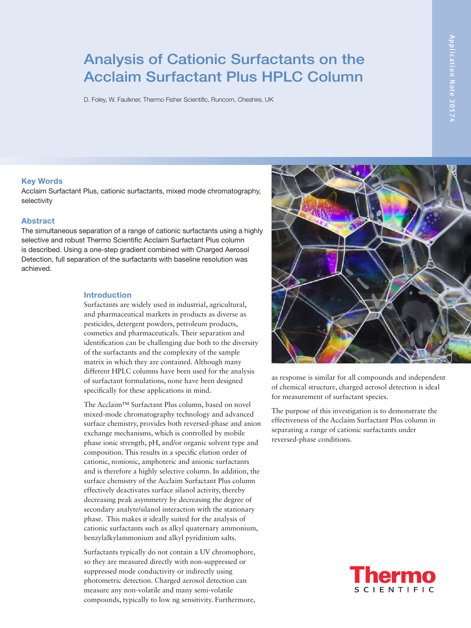# Analysis of Cationic Surfactants on the Acclaim Surfactant Plus HPLC Column

D. Foley, W. Faulkner, Thermo Fisher Scientific, Runcorn, Cheshire, UK

### Key Words

Acclaim Surfactant Plus, cationic surfactants, mixed mode chromatography, selectivity

## **Abstract**

The simultaneous separation of a range of cationic surfactants using a highly selective and robust Thermo Scientific Acclaim Surfactant Plus column is described. Using a one-step gradient combined with Charged Aerosol Detection, full separation of the surfactants with baseline resolution was achieved.

#### **Introduction**

Surfactants are widely used in industrial, agricultural, and pharmaceutical markets in products as diverse as pesticides, detergent powders, petroleum products, cosmetics and pharmaceuticals. Their separation and identification can be challenging due both to the diversity of the surfactants and the complexity of the sample matrix in which they are contained. Although many different HPLC columns have been used for the analysis of surfactant formulations, none have been designed specifically for these applications in mind.

The Acclaim™ Surfactant Plus column, based on novel mixed-mode chromatography technology and advanced surface chemistry, provides both reversed-phase and anion exchange mechanisms, which is controlled by mobile phase ionic strength, pH, and/or organic solvent type and composition. This results in a specific elution order of cationic, nonionic, amphoteric and anionic surfactants and is therefore a highly selective column. In addition, the surface chemistry of the Acclaim Surfactant Plus column effectively deactivates surface silanol activity, thereby decreasing peak asymmetry by decreasing the degree of secondary analyte/silanol interaction with the stationary phase. This makes it ideally suited for the analysis of cationic surfactants such as alkyl quaternary ammonium, benzylalkylammonium and alkyl pyridinium salts.

Surfactants typically do not contain a UV chromophore, so they are measured directly with non-suppressed or suppressed mode conductivity or indirectly using photometric detection. Charged aerosol detection can measure any non-volatile and many semi-volatile compounds, typically to low ng sensitivity. Furthermore,



as response is similar for all compounds and independent of chemical structure, charged aerosol detection is ideal for measurement of surfactant species.

The purpose of this investigation is to demonstrate the effectiveness of the Acclaim Surfactant Plus column in separating a range of cationic surfactants under reversed-phase conditions.

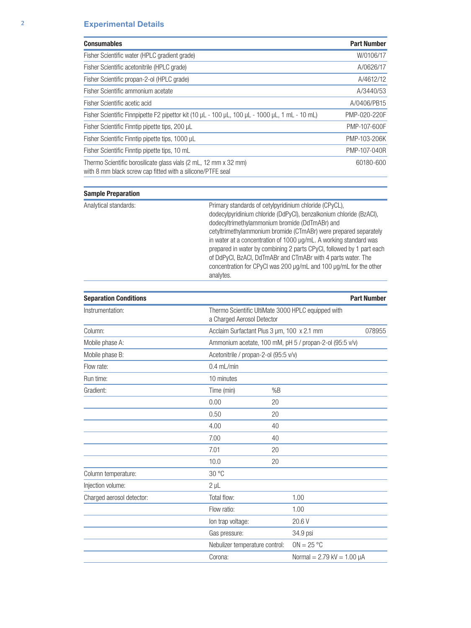| <b>Consumables</b>                                                                                                             | <b>Part Number</b> |
|--------------------------------------------------------------------------------------------------------------------------------|--------------------|
| Fisher Scientific water (HPLC gradient grade)                                                                                  | W/0106/17          |
| Fisher Scientific acetonitrile (HPLC grade)                                                                                    | A/0626/17          |
| Fisher Scientific propan-2-ol (HPLC grade)                                                                                     | A/4612/12          |
| Fisher Scientific ammonium acetate                                                                                             | A/3440/53          |
| Fisher Scientific acetic acid                                                                                                  | A/0406/PB15        |
| Fisher Scientific Finnpipette F2 pipettor kit (10 µL - 100 µL, 100 µL - 1000 µL, 1 mL - 10 mL)                                 | PMP-020-220F       |
| Fisher Scientific Finntip pipette tips, 200 µL                                                                                 | PMP-107-600F       |
| Fisher Scientific Finntip pipette tips, 1000 µL                                                                                | PMP-103-206K       |
| Fisher Scientific Finntip pipette tips, 10 mL                                                                                  | PMP-107-040R       |
| Thermo Scientific borosilicate glass vials (2 mL, 12 mm x 32 mm)<br>with 8 mm black screw cap fitted with a silicone/PTFE seal | 60180-600          |

| <b>Sample Preparation</b>    |                                |                                                                                                                                                                                                                                                                                                                                                                                                                                                                                                                                        |                                     |                    |  |  |
|------------------------------|--------------------------------|----------------------------------------------------------------------------------------------------------------------------------------------------------------------------------------------------------------------------------------------------------------------------------------------------------------------------------------------------------------------------------------------------------------------------------------------------------------------------------------------------------------------------------------|-------------------------------------|--------------------|--|--|
| Analytical standards:        | analytes.                      | Primary standards of cetylpyridinium chloride (CPyCL),<br>dodecylpyridinium chloride (DdPyCl), benzalkonium chloride (BzACl),<br>dodecyltrimethylammonium bromide (DdTmABr) and<br>cetyltrimethylammonium bromide (CTmABr) were prepared separately<br>in water at a concentration of 1000 µg/mL. A working standard was<br>prepared in water by combining 2 parts CPyCl, followed by 1 part each<br>of DdPyCl, BzACl, DdTmABr and CTmABr with 4 parts water. The<br>concentration for CPyCI was 200 µg/mL and 100 µg/mL for the other |                                     |                    |  |  |
| <b>Separation Conditions</b> |                                |                                                                                                                                                                                                                                                                                                                                                                                                                                                                                                                                        |                                     | <b>Part Number</b> |  |  |
| Instrumentation:             |                                | Thermo Scientific UltiMate 3000 HPLC equipped with<br>a Charged Aerosol Detector                                                                                                                                                                                                                                                                                                                                                                                                                                                       |                                     |                    |  |  |
| Column:                      |                                | Acclaim Surfactant Plus 3 µm, 100 x 2.1 mm<br>078955                                                                                                                                                                                                                                                                                                                                                                                                                                                                                   |                                     |                    |  |  |
| Mobile phase A:              |                                | Ammonium acetate, 100 mM, pH 5 / propan-2-ol (95:5 v/v)                                                                                                                                                                                                                                                                                                                                                                                                                                                                                |                                     |                    |  |  |
| Mobile phase B:              |                                | Acetonitrile / propan-2-ol (95:5 v/v)                                                                                                                                                                                                                                                                                                                                                                                                                                                                                                  |                                     |                    |  |  |
| Flow rate:                   | $0.4$ mL/min                   |                                                                                                                                                                                                                                                                                                                                                                                                                                                                                                                                        |                                     |                    |  |  |
| Run time:                    | 10 minutes                     |                                                                                                                                                                                                                                                                                                                                                                                                                                                                                                                                        |                                     |                    |  |  |
| Gradient:                    | Time (min)                     | %B                                                                                                                                                                                                                                                                                                                                                                                                                                                                                                                                     |                                     |                    |  |  |
|                              | 0.00                           | 20                                                                                                                                                                                                                                                                                                                                                                                                                                                                                                                                     |                                     |                    |  |  |
|                              | 0.50                           | 20                                                                                                                                                                                                                                                                                                                                                                                                                                                                                                                                     |                                     |                    |  |  |
|                              | 4.00                           | 40                                                                                                                                                                                                                                                                                                                                                                                                                                                                                                                                     |                                     |                    |  |  |
|                              | 7.00                           | 40                                                                                                                                                                                                                                                                                                                                                                                                                                                                                                                                     |                                     |                    |  |  |
|                              | 7.01                           | 20                                                                                                                                                                                                                                                                                                                                                                                                                                                                                                                                     |                                     |                    |  |  |
|                              | 10.0                           | 20                                                                                                                                                                                                                                                                                                                                                                                                                                                                                                                                     |                                     |                    |  |  |
| Column temperature:          | 30 °C                          |                                                                                                                                                                                                                                                                                                                                                                                                                                                                                                                                        |                                     |                    |  |  |
| Injection volume:            | $2 \mu L$                      |                                                                                                                                                                                                                                                                                                                                                                                                                                                                                                                                        |                                     |                    |  |  |
| Charged aerosol detector:    | Total flow:                    |                                                                                                                                                                                                                                                                                                                                                                                                                                                                                                                                        | 1.00                                |                    |  |  |
|                              | Flow ratio:                    |                                                                                                                                                                                                                                                                                                                                                                                                                                                                                                                                        | 1.00                                |                    |  |  |
|                              | lon trap voltage:              |                                                                                                                                                                                                                                                                                                                                                                                                                                                                                                                                        | 20.6 V                              |                    |  |  |
|                              | Gas pressure:                  |                                                                                                                                                                                                                                                                                                                                                                                                                                                                                                                                        | 34.9 psi                            |                    |  |  |
|                              | Nebulizer temperature control: |                                                                                                                                                                                                                                                                                                                                                                                                                                                                                                                                        | $ON = 25 °C$                        |                    |  |  |
|                              | Corona:                        |                                                                                                                                                                                                                                                                                                                                                                                                                                                                                                                                        | Normal = $2.79$ kV = $1.00$ $\mu$ A |                    |  |  |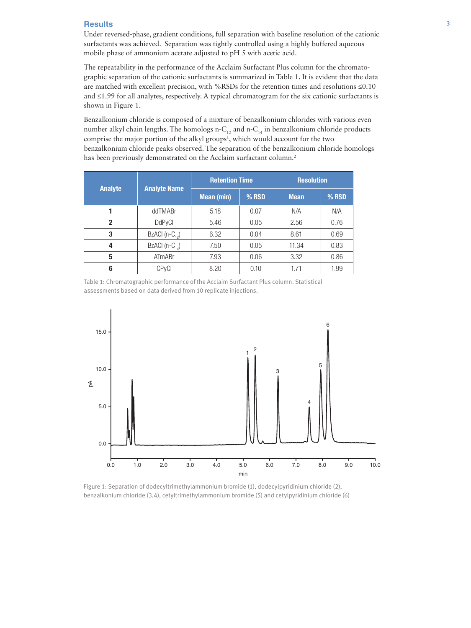### Results 3

Under reversed-phase, gradient conditions, full separation with baseline resolution of the cationic surfactants was achieved. Separation was tightly controlled using a highly buffered aqueous mobile phase of ammonium acetate adjusted to pH 5 with acetic acid.

The repeatability in the performance of the Acclaim Surfactant Plus column for the chromatographic separation of the cationic surfactants is summarized in Table 1. It is evident that the data are matched with excellent precision, with %RSDs for the retention times and resolutions ≤0.10 and ≤1.99 for all analytes, respectively. A typical chromatogram for the six cationic surfactants is shown in Figure 1.

Benzalkonium chloride is composed of a mixture of benzalkonium chlorides with various even number alkyl chain lengths. The homologs n- $C_{12}$  and n- $C_{14}$  in benzalkonium chloride products comprise the major portion of the alkyl groups<sup>1</sup>, which would account for the two benzalkonium chloride peaks observed. The separation of the benzalkonium chloride homologs has been previously demonstrated on the Acclaim surfactant column.<sup>2</sup>

| <b>Analyte</b> | <b>Analyte Name</b>        | <b>Retention Time</b> |         | <b>Resolution</b> |       |
|----------------|----------------------------|-----------------------|---------|-------------------|-------|
|                |                            | <b>Mean (min)</b>     | $%$ RSD | <b>Mean</b>       | % RSD |
|                | ddTMABr                    | 5.18                  | 0.07    | N/A               | N/A   |
| $\overline{2}$ | <b>DdPyCI</b>              | 5.46                  | 0.05    | 2.56              | 0.76  |
| 3              | BzACI $(n-C_{12})$         | 6.32                  | 0.04    | 8.61              | 0.69  |
| 4              | BzACI (n-C <sub>14</sub> ) | 7.50                  | 0.05    | 11.34             | 0.83  |
| 5              | ATmABr                     | 7.93                  | 0.06    | 3.32              | 0.86  |
| 6              | <b>CP<sub>V</sub>CI</b>    | 8.20                  | 0.10    | 1.71              | 1.99  |

Table 1: Chromatographic performance of the Acclaim Surfactant Plus column. Statistical assessments based on data derived from 10 replicate injections.



Figure 1: Separation of dodecyltrimethylammonium bromide (1), dodecylpyridinium chloride (2), benzalkonium chloride (3,4), cetyltrimethylammonium bromide (5) and cetylpyridinium chloride (6)